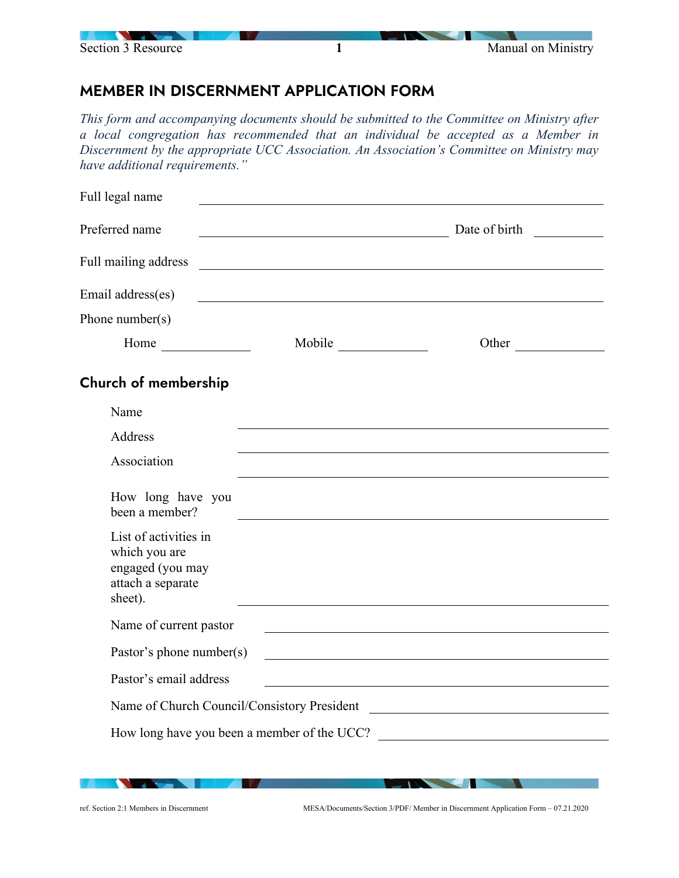

## MEMBER IN DISCERNMENT APPLICATION FORM

*This form and accompanying documents should be submitted to the Committee on Ministry after a local congregation has recommended that an individual be accepted as a Member in Discernment by the appropriate UCC Association. An Association's Committee on Ministry may have additional requirements."*

| Full legal name                                                                            |               |
|--------------------------------------------------------------------------------------------|---------------|
| Preferred name                                                                             | Date of birth |
| Full mailing address                                                                       |               |
| Email address(es)                                                                          |               |
| Phone number(s)                                                                            |               |
| Home                                                                                       | Other         |
| Church of membership                                                                       |               |
| Name                                                                                       |               |
| Address                                                                                    |               |
| Association                                                                                |               |
| How long have you<br>been a member?                                                        |               |
| List of activities in<br>which you are<br>engaged (you may<br>attach a separate<br>sheet). |               |
| Name of current pastor                                                                     |               |
| Pastor's phone number(s)                                                                   |               |
| Pastor's email address                                                                     |               |
| Name of Church Council/Consistory President                                                |               |
| How long have you been a member of the UCC?                                                |               |
|                                                                                            |               |

**Contract Contract Contract Contract** 

**The Communication of the Communication**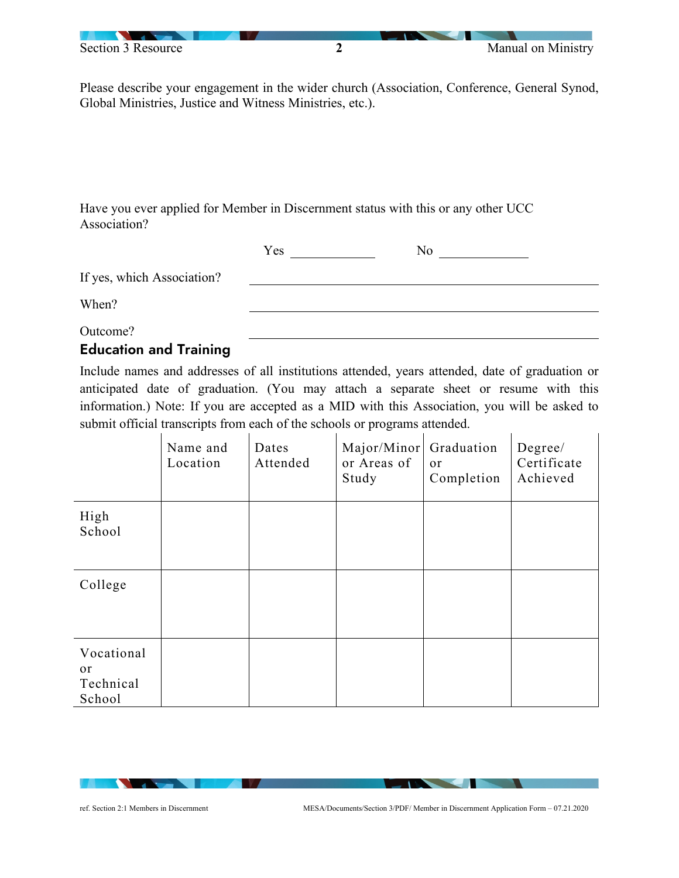

Please describe your engagement in the wider church (Association, Conference, General Synod, Global Ministries, Justice and Witness Ministries, etc.).

Have you ever applied for Member in Discernment status with this or any other UCC Association?

|                                       | Yes | No |
|---------------------------------------|-----|----|
| If yes, which Association?            |     |    |
| When?                                 |     |    |
| Outcome?                              |     |    |
| $\sim$ 1.000 $\sim$ 1.000 $\sim$<br>. |     |    |

## Education and Training

Include names and addresses of all institutions attended, years attended, date of graduation or anticipated date of graduation. (You may attach a separate sheet or resume with this information.) Note: If you are accepted as a MID with this Association, you will be asked to submit official transcripts from each of the schools or programs attended.

|                                                    | Name and<br>Location | Dates<br>Attended | Major/Minor<br>or Areas of<br>Study | Graduation<br>or<br>Completion | Degree/<br>Certificate<br>Achieved |
|----------------------------------------------------|----------------------|-------------------|-------------------------------------|--------------------------------|------------------------------------|
| High<br>School                                     |                      |                   |                                     |                                |                                    |
| College                                            |                      |                   |                                     |                                |                                    |
| Vocational<br><sub>or</sub><br>Technical<br>School |                      |                   |                                     |                                |                                    |